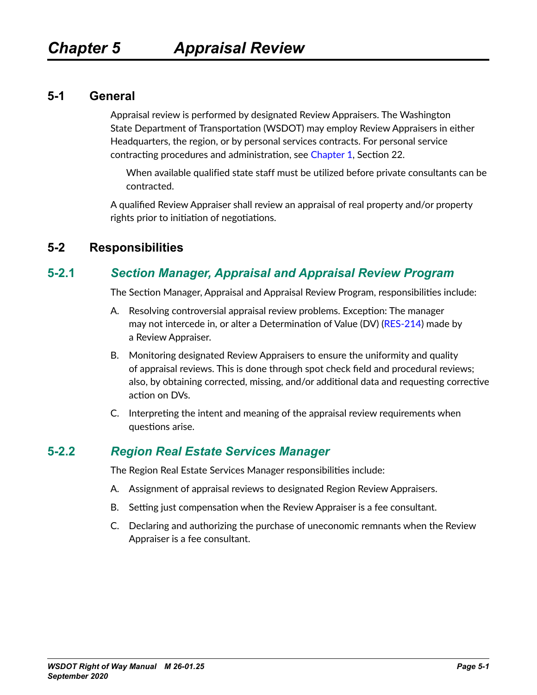#### **5-1 General**

Appraisal review is performed by designated Review Appraisers. The Washington State Department of Transportation (WSDOT) may employ Review Appraisers in either Headquarters, the region, or by personal services contracts. For personal service contracting procedures and administration, see Chapter 1, Section 22.

When available qualified state staff must be utilized before private consultants can be contracted.

A qualified Review Appraiser shall review an appraisal of real property and/or property rights prior to initiation of negotiations.

#### **5-2 Responsibilities**

## **5-2.1** *Section Manager, Appraisal and Appraisal Review Program*

The Section Manager, Appraisal and Appraisal Review Program, responsibilities include:

- A. Resolving controversial appraisal review problems. Exception: The manager may not intercede in, or alter a Determination of Value (DV) [\(RES-214](http://www.wsdot.wa.gov/RealEstate/forms/Appraisal/default.htm)) made by a Review Appraiser.
- B. Monitoring designated Review Appraisers to ensure the uniformity and quality of appraisal reviews. This is done through spot check field and procedural reviews; also, by obtaining corrected, missing, and/or additional data and requesting corrective action on DVs.
- C. Interpreting the intent and meaning of the appraisal review requirements when questions arise.

## **5-2.2** *Region Real Estate Services Manager*

The Region Real Estate Services Manager responsibilities include:

- A. Assignment of appraisal reviews to designated Region Review Appraisers.
- B. Setting just compensation when the Review Appraiser is a fee consultant.
- C. Declaring and authorizing the purchase of uneconomic remnants when the Review Appraiser is a fee consultant.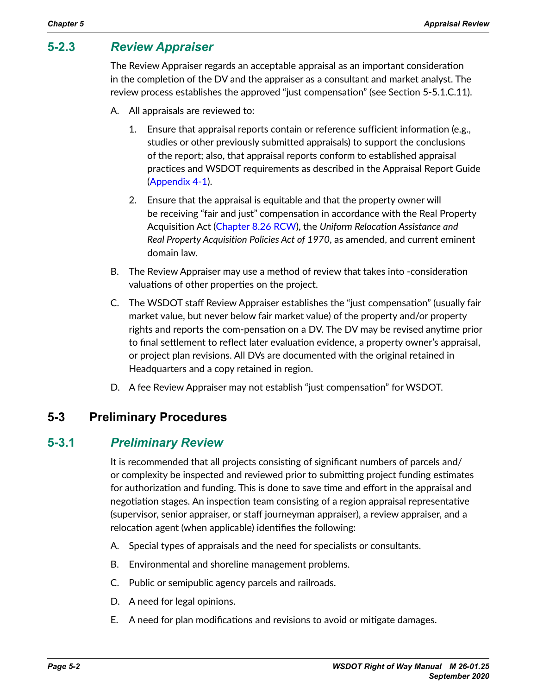## **5-2.3** *Review Appraiser*

The Review Appraiser regards an acceptable appraisal as an important consideration in the completion of the DV and the appraiser as a consultant and market analyst. The review process establishes the approved "just compensation" (see Section 5-5.1.C.11).

- A. All appraisals are reviewed to:
	- 1. Ensure that appraisal reports contain or reference sufficient information (e.g., studies or other previously submitted appraisals) to support the conclusions of the report; also, that appraisal reports conform to established appraisal practices and WSDOT requirements as described in the Appraisal Report Guide (Appendix 4-1).
	- 2. Ensure that the appraisal is equitable and that the property owner will be receiving "fair and just" compensation in accordance with the Real Property Acquisition Act [\(Chapter 8.26 RCW\)](http://apps.leg.wa.gov/RCW/default.aspx?cite=8.26), the *Uniform Relocation Assistance and Real Property Acquisition Policies Act of 1970*, as amended, and current eminent domain law.
- B. The Review Appraiser may use a method of review that takes into -consideration valuations of other properties on the project.
- C. The WSDOT staff Review Appraiser establishes the "just compensation" (usually fair market value, but never below fair market value) of the property and/or property rights and reports the com-pensation on a DV. The DV may be revised anytime prior to final settlement to reflect later evaluation evidence, a property owner's appraisal, or project plan revisions. All DVs are documented with the original retained in Headquarters and a copy retained in region.
- D. A fee Review Appraiser may not establish "just compensation" for WSDOT.

#### **5-3 Preliminary Procedures**

#### **5-3.1** *Preliminary Review*

It is recommended that all projects consisting of significant numbers of parcels and/ or complexity be inspected and reviewed prior to submitting project funding estimates for authorization and funding. This is done to save time and effort in the appraisal and negotiation stages. An inspection team consisting of a region appraisal representative (supervisor, senior appraiser, or staff journeyman appraiser), a review appraiser, and a relocation agent (when applicable) identifies the following:

- A. Special types of appraisals and the need for specialists or consultants.
- B. Environmental and shoreline management problems.
- C. Public or semipublic agency parcels and railroads.
- D. A need for legal opinions.
- E. A need for plan modifications and revisions to avoid or mitigate damages.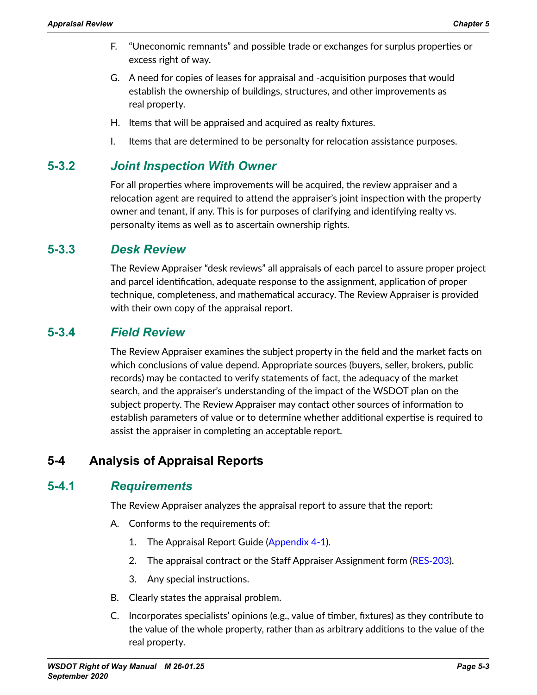- F. "Uneconomic remnants" and possible trade or exchanges for surplus properties or excess right of way.
- G. A need for copies of leases for appraisal and -acquisition purposes that would establish the ownership of buildings, structures, and other improvements as real property.
- H. Items that will be appraised and acquired as realty fixtures.
- I. Items that are determined to be personalty for relocation assistance purposes.

#### **5-3.2** *Joint Inspection With Owner*

For all properties where improvements will be acquired, the review appraiser and a relocation agent are required to attend the appraiser's joint inspection with the property owner and tenant, if any. This is for purposes of clarifying and identifying realty vs. personalty items as well as to ascertain ownership rights.

#### **5-3.3** *Desk Review*

<span id="page-2-0"></span>The Review Appraiser "desk reviews" all appraisals of each parcel to assure proper project and parcel identification, adequate response to the assignment, application of proper technique, completeness, and mathematical accuracy. The Review Appraiser is provided with their own copy of the appraisal report.

## **5-3.4** *Field Review*

<span id="page-2-1"></span>The Review Appraiser examines the subject property in the field and the market facts on which conclusions of value depend. Appropriate sources (buyers, seller, brokers, public records) may be contacted to verify statements of fact, the adequacy of the market search, and the appraiser's understanding of the impact of the WSDOT plan on the subject property. The Review Appraiser may contact other sources of information to establish parameters of value or to determine whether additional expertise is required to assist the appraiser in completing an acceptable report.

# **5-4 Analysis of Appraisal Reports**

## **5-4.1** *Requirements*

<span id="page-2-2"></span>The Review Appraiser analyzes the appraisal report to assure that the report:

- A. Conforms to the requirements of:
	- 1. The Appraisal Report Guide (Appendix 4-1).
	- 2. The appraisal contract or the Staff Appraiser Assignment form ([RES](http://www.wsdot.wa.gov/RealEstate/forms/Appraisal/default.htm)-203).
	- 3. Any special instructions.
- B. Clearly states the appraisal problem.
- C. Incorporates specialists' opinions (e.g., value of timber, fixtures) as they contribute to the value of the whole property, rather than as arbitrary additions to the value of the real property.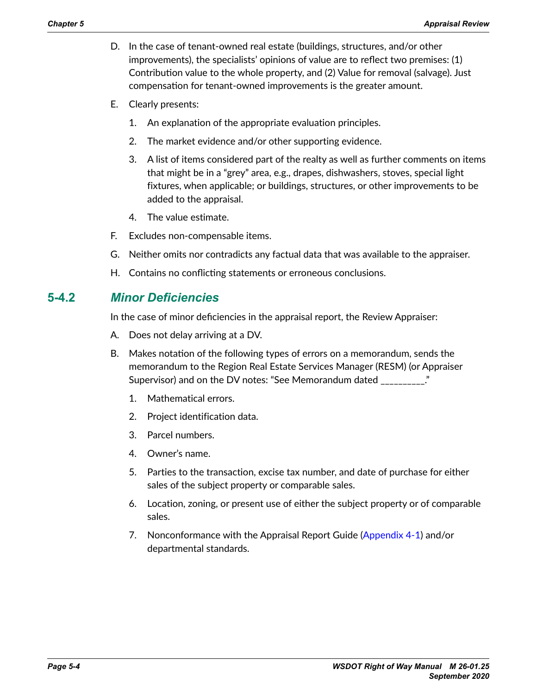- D. In the case of tenant-owned real estate (buildings, structures, and/or other improvements), the specialists' opinions of value are to reflect two premises: (1) Contribution value to the whole property, and (2) Value for removal (salvage). Just compensation for tenant-owned improvements is the greater amount.
- E. Clearly presents:
	- 1. An explanation of the appropriate evaluation principles.
	- 2. The market evidence and/or other supporting evidence.
	- 3. A list of items considered part of the realty as well as further comments on items that might be in a "grey" area, e.g., drapes, dishwashers, stoves, special light fixtures, when applicable; or buildings, structures, or other improvements to be added to the appraisal.
	- 4. The value estimate.
- F. Excludes non-compensable items.
- G. Neither omits nor contradicts any factual data that was available to the appraiser.
- H. Contains no conflicting statements or erroneous conclusions.

#### **5-4.2** *Minor Deficiencies*

In the case of minor deficiencies in the appraisal report, the Review Appraiser:

- A. Does not delay arriving at a DV.
- B. Makes notation of the following types of errors on a memorandum, sends the memorandum to the Region Real Estate Services Manager (RESM) (or Appraiser Supervisor) and on the DV notes: "See Memorandum dated \_\_\_\_\_\_\_\_\_\_."
	- 1. Mathematical errors.
	- 2. Project identification data.
	- 3. Parcel numbers.
	- 4. Owner's name.
	- 5. Parties to the transaction, excise tax number, and date of purchase for either sales of the subject property or comparable sales.
	- 6. Location, zoning, or present use of either the subject property or of comparable sales.
	- 7. Nonconformance with the Appraisal Report Guide (Appendix 4-1) and/or departmental standards.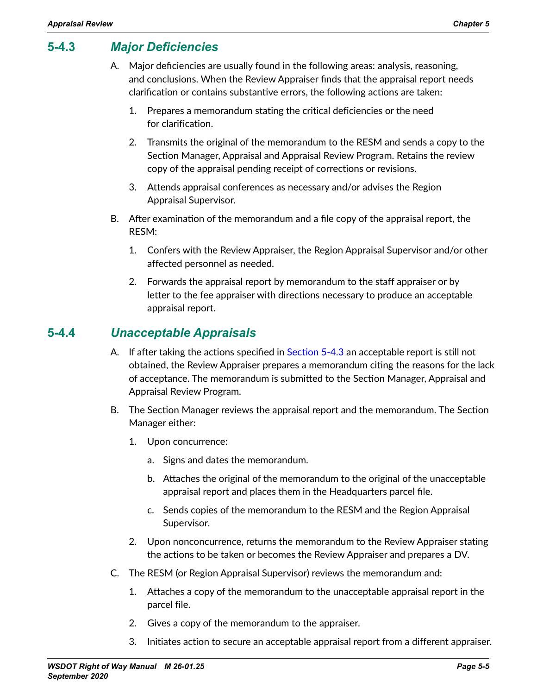# **5-4.3** *Major Deficiencies*

- <span id="page-4-0"></span>A. Major deficiencies are usually found in the following areas: analysis, reasoning, and conclusions. When the Review Appraiser finds that the appraisal report needs clarification or contains substantive errors, the following actions are taken:
	- 1. Prepares a memorandum stating the critical deficiencies or the need for clarification.
	- 2. Transmits the original of the memorandum to the RESM and sends a copy to the Section Manager, Appraisal and Appraisal Review Program. Retains the review copy of the appraisal pending receipt of corrections or revisions.
	- 3. Attends appraisal conferences as necessary and/or advises the Region Appraisal Supervisor.
- B. After examination of the memorandum and a file copy of the appraisal report, the RESM:
	- 1. Confers with the Review Appraiser, the Region Appraisal Supervisor and/or other affected personnel as needed.
	- 2. Forwards the appraisal report by memorandum to the staff appraiser or by letter to the fee appraiser with directions necessary to produce an acceptable appraisal report.

## **5-4.4** *Unacceptable Appraisals*

- A. If after taking the actions specified in [Section 5-4.3](#page-4-0) an acceptable report is still not obtained, the Review Appraiser prepares a memorandum citing the reasons for the lack of acceptance. The memorandum is submitted to the Section Manager, Appraisal and Appraisal Review Program.
- B. The Section Manager reviews the appraisal report and the memorandum. The Section Manager either:
	- 1. Upon concurrence:
		- a. Signs and dates the memorandum.
		- b. Attaches the original of the memorandum to the original of the unacceptable appraisal report and places them in the Headquarters parcel file.
		- c. Sends copies of the memorandum to the RESM and the Region Appraisal Supervisor.
	- 2. Upon nonconcurrence, returns the memorandum to the Review Appraiser stating the actions to be taken or becomes the Review Appraiser and prepares a DV.
- C. The RESM (or Region Appraisal Supervisor) reviews the memorandum and:
	- 1. Attaches a copy of the memorandum to the unacceptable appraisal report in the parcel file.
	- 2. Gives a copy of the memorandum to the appraiser.
	- 3. Initiates action to secure an acceptable appraisal report from a different appraiser.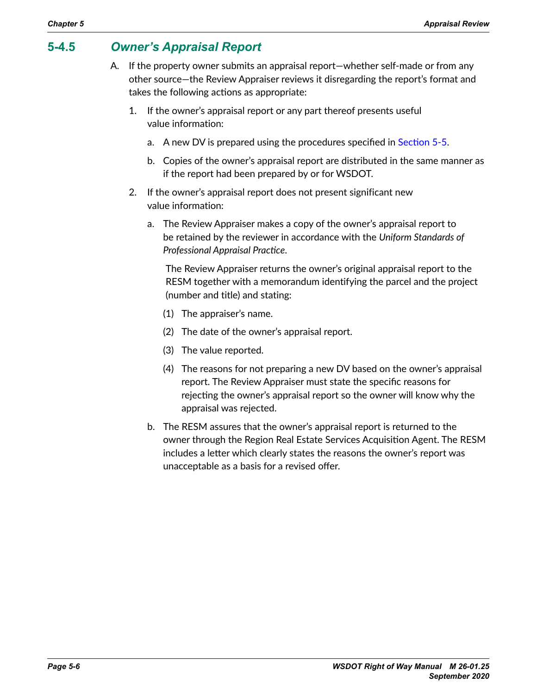# **5-4.5** *Owner's Appraisal Report*

- A. If the property owner submits an appraisal report—whether self-made or from any other source—the Review Appraiser reviews it disregarding the report's format and takes the following actions as appropriate:
	- 1. If the owner's appraisal report or any part thereof presents useful value information:
		- a. A new DV is prepared using the procedures specified in [Section](#page-6-0) 5-5.
		- b. Copies of the owner's appraisal report are distributed in the same manner as if the report had been prepared by or for WSDOT.
	- 2. If the owner's appraisal report does not present significant new value information:
		- a. The Review Appraiser makes a copy of the owner's appraisal report to be retained by the reviewer in accordance with the *Uniform Standards of Professional Appraisal Practice*.

The Review Appraiser returns the owner's original appraisal report to the RESM together with a memorandum identifying the parcel and the project (number and title) and stating:

- (1) The appraiser's name.
- (2) The date of the owner's appraisal report.
- (3) The value reported.
- (4) The reasons for not preparing a new DV based on the owner's appraisal report. The Review Appraiser must state the specific reasons for rejecting the owner's appraisal report so the owner will know why the appraisal was rejected.
- b. The RESM assures that the owner's appraisal report is returned to the owner through the Region Real Estate Services Acquisition Agent. The RESM includes a letter which clearly states the reasons the owner's report was unacceptable as a basis for a revised offer.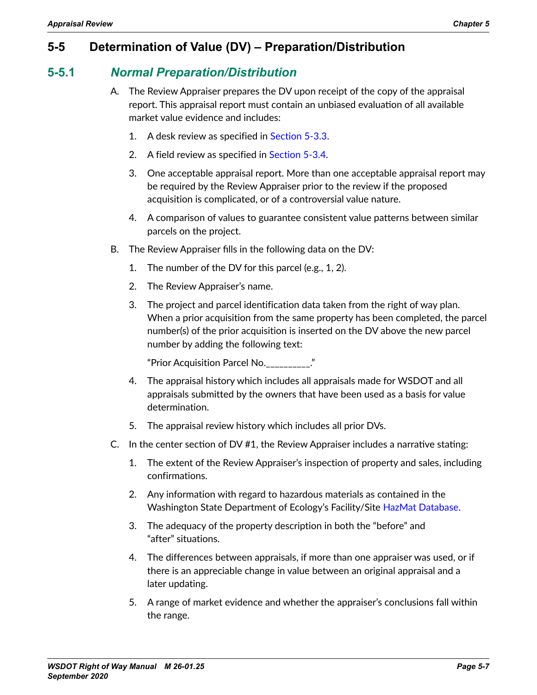# **5-5 Determination of Value (DV) – Preparation/Distribution**

#### **5-5.1** *Normal Preparation/Distribution*

- <span id="page-6-0"></span>A. The Review Appraiser prepares the DV upon receipt of the copy of the appraisal report. This appraisal report must contain an unbiased evaluation of all available market value evidence and includes:
	- 1. A desk review as specified in [Section 5-3.3](#page-2-0).
	- 2. A field review as specified in [Section 5-3.4](#page-2-1).
	- 3. One acceptable appraisal report. More than one acceptable appraisal report may be required by the Review Appraiser prior to the review if the proposed acquisition is complicated, or of a controversial value nature.
	- 4. A comparison of values to guarantee consistent value patterns between similar parcels on the project.
- B. The Review Appraiser fills in the following data on the DV:
	- 1. The number of the DV for this parcel (e.g., 1, 2).
	- 2. The Review Appraiser's name.
	- 3. The project and parcel identification data taken from the right of way plan. When a prior acquisition from the same property has been completed, the parcel number(s) of the prior acquisition is inserted on the DV above the new parcel number by adding the following text:

"Prior Acquisition Parcel No.\_\_\_\_\_\_\_\_\_\_."

- 4. The appraisal history which includes all appraisals made for WSDOT and all appraisals submitted by the owners that have been used as a basis for value determination.
- 5. The appraisal review history which includes all prior DVs.
- C. In the center section of DV #1, the Review Appraiser includes a narrative stating:
	- 1. The extent of the Review Appraiser's inspection of property and sales, including confirmations.
	- 2. Any information with regard to hazardous materials as contained in the Washington State Department of Ecology's Facility/Site [HazMat Database](file:///Volumes/corporate/Public/DOT/meekp/Right%20of%20Way%20Manual/www.ecy.wa.gov/fs).
	- 3. The adequacy of the property description in both the "before" and "after" situations.
	- 4. The differences between appraisals, if more than one appraiser was used, or if there is an appreciable change in value between an original appraisal and a later updating.
	- 5. A range of market evidence and whether the appraiser's conclusions fall within the range.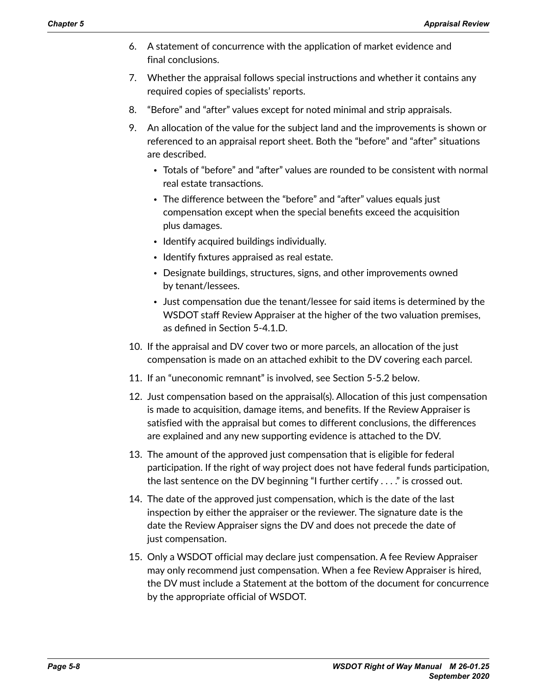- 6. A statement of concurrence with the application of market evidence and final conclusions.
- 7. Whether the appraisal follows special instructions and whether it contains any required copies of specialists' reports.
- 8. "Before" and "after" values except for noted minimal and strip appraisals.
- 9. An allocation of the value for the subject land and the improvements is shown or referenced to an appraisal report sheet. Both the "before" and "after" situations are described.
	- Totals of "before" and "after" values are rounded to be consistent with normal real estate transactions.
	- The difference between the "before" and "after" values equals just compensation except when the special benefits exceed the acquisition plus damages.
	- Identify acquired buildings individually.
	- Identify fixtures appraised as real estate.
	- Designate buildings, structures, signs, and other improvements owned by tenant/lessees.
	- Just compensation due the tenant/lessee for said items is determined by the WSDOT staff Review Appraiser at the higher of the two valuation premises, as defined in Section 5-4.1.D.
- 10. If the appraisal and DV cover two or more parcels, an allocation of the just compensation is made on an attached exhibit to the DV covering each parcel.
- 11. If an "uneconomic remnant" is involved, see Section 5-5.2 below.
- 12. Just compensation based on the appraisal(s). Allocation of this just compensation is made to acquisition, damage items, and benefits. If the Review Appraiser is satisfied with the appraisal but comes to different conclusions, the differences are explained and any new supporting evidence is attached to the DV.
- 13. The amount of the approved just compensation that is eligible for federal participation. If the right of way project does not have federal funds participation, the last sentence on the DV beginning "I further certify . . . ." is crossed out.
- 14. The date of the approved just compensation, which is the date of the last inspection by either the appraiser or the reviewer. The signature date is the date the Review Appraiser signs the DV and does not precede the date of just compensation.
- 15. Only a WSDOT official may declare just compensation. A fee Review Appraiser may only recommend just compensation. When a fee Review Appraiser is hired, the DV must include a Statement at the bottom of the document for concurrence by the appropriate official of WSDOT.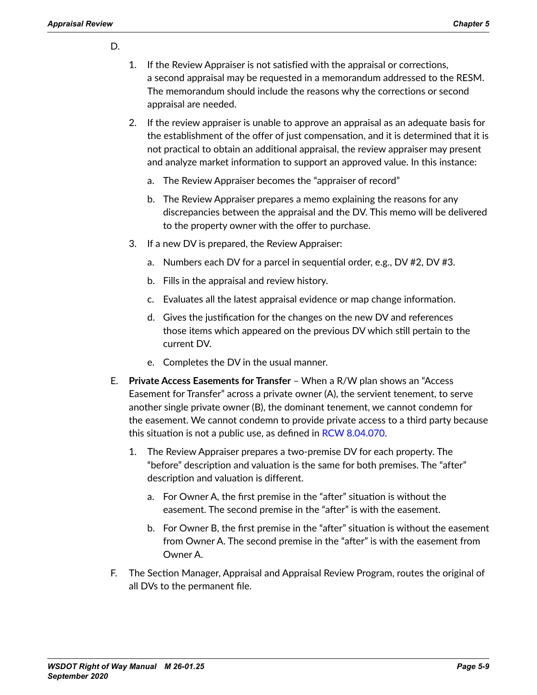#### D.

- 1. If the Review Appraiser is not satisfied with the appraisal or corrections, a second appraisal may be requested in a memorandum addressed to the RESM. The memorandum should include the reasons why the corrections or second appraisal are needed.
- 2. If the review appraiser is unable to approve an appraisal as an adequate basis for the establishment of the offer of just compensation, and it is determined that it is not practical to obtain an additional appraisal, the review appraiser may present and analyze market information to support an approved value. In this instance:
	- a. The Review Appraiser becomes the "appraiser of record"
	- b. The Review Appraiser prepares a memo explaining the reasons for any discrepancies between the appraisal and the DV. This memo will be delivered to the property owner with the offer to purchase.
- 3. If a new DV is prepared, the Review Appraiser:
	- a. Numbers each DV for a parcel in sequential order, e.g., DV #2, DV #3.
	- b. Fills in the appraisal and review history.
	- c. Evaluates all the latest appraisal evidence or map change information.
	- d. Gives the justification for the changes on the new DV and references those items which appeared on the previous DV which still pertain to the current DV.
	- e. Completes the DV in the usual manner.
- E. **Private Access Easements for Transfer** When a R/W plan shows an "Access Easement for Transfer" across a private owner (A), the servient tenement, to serve another single private owner (B), the dominant tenement, we cannot condemn for the easement. We cannot condemn to provide private access to a third party because this situation is not a public use, as defined in [RCW 8.04.070](http://apps.leg.wa.gov/RCW/default.aspx?cite=8.04.070).
	- 1. The Review Appraiser prepares a two-premise DV for each property. The "before" description and valuation is the same for both premises. The "after" description and valuation is different.
		- a. For Owner A, the first premise in the "after" situation is without the easement. The second premise in the "after" is with the easement.
		- b. For Owner B, the first premise in the "after" situation is without the easement from Owner A. The second premise in the "after" is with the easement from Owner A.
- F. The Section Manager, Appraisal and Appraisal Review Program, routes the original of all DVs to the permanent file.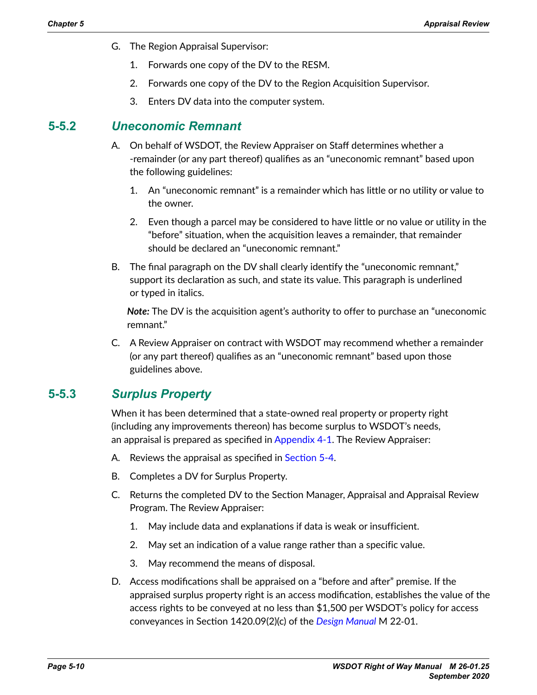- G. The Region Appraisal Supervisor:
	- 1. Forwards one copy of the DV to the RESM.
	- 2. Forwards one copy of the DV to the Region Acquisition Supervisor.
	- 3. Enters DV data into the computer system.

#### **5-5.2** *Uneconomic Remnant*

- A. On behalf of WSDOT, the Review Appraiser on Staff determines whether a -remainder (or any part thereof) qualifies as an "uneconomic remnant" based upon the following guidelines:
	- 1. An "uneconomic remnant" is a remainder which has little or no utility or value to the owner.
	- 2. Even though a parcel may be considered to have little or no value or utility in the "before" situation, when the acquisition leaves a remainder, that remainder should be declared an "uneconomic remnant."
- B. The final paragraph on the DV shall clearly identify the "uneconomic remnant," support its declaration as such, and state its value. This paragraph is underlined or typed in italics.

*Note:* The DV is the acquisition agent's authority to offer to purchase an "uneconomic remnant."

C. A Review Appraiser on contract with WSDOT may recommend whether a remainder (or any part thereof) qualifies as an "uneconomic remnant" based upon those guidelines above.

# **5-5.3** *Surplus Property*

When it has been determined that a state-owned real property or property right (including any improvements thereon) has become surplus to WSDOT's needs, an appraisal is prepared as specified in Appendix 4-1. The Review Appraiser:

- A. Reviews the appraisal as specified in [Section 5-4](#page-2-2).
- B. Completes a DV for Surplus Property.
- C. Returns the completed DV to the Section Manager, Appraisal and Appraisal Review Program. The Review Appraiser:
	- 1. May include data and explanations if data is weak or insufficient.
	- 2. May set an indication of a value range rather than a specific value.
	- 3. May recommend the means of disposal.
- D. Access modifications shall be appraised on a "before and after" premise. If the appraised surplus property right is an access modification, establishes the value of the access rights to be conveyed at no less than \$1,500 per WSDOT's policy for access conveyances in Section 1420.09(2)(c) of the *[Design Manual](http://www.wsdot.wa.gov/Publications/Manuals/M22-01.htm)* M 22‑01.